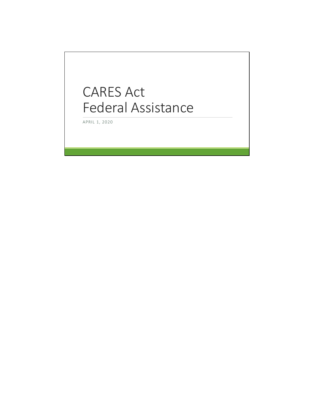# CARES Act Federal Assistance

APRIL 1, 2020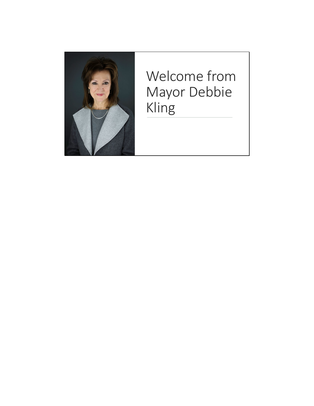

# Welcome from Mayor Debbie Kling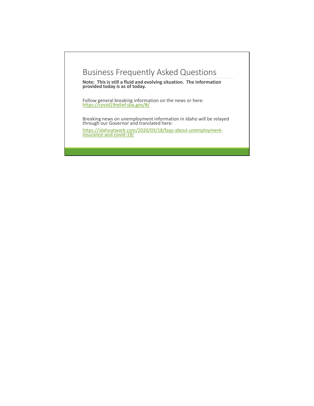## Business Frequently Asked Questions

**Note: This is still a fluid and evolving situation. The information provided today is as of today.** 

Follow general breaking information on the news or here: https://covid19relief.sba.gov/#/

Breaking news on unemployment information in Idaho will be relayed through our Governor and translated here:

https://idahoatwork.com/2020/03/18/faqs-about-unemployment- insurance-and-covid-19/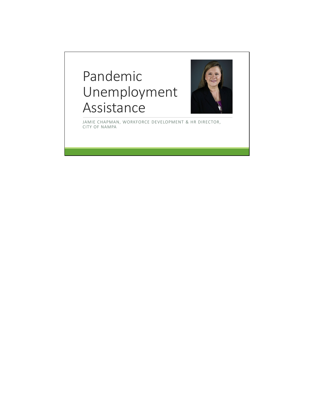# Pandemic Unemployment Assistance



JAMIE CHAPMAN, WORKFORCE DEVELOPMENT & HR DIRECTOR, CITY OF NAMPA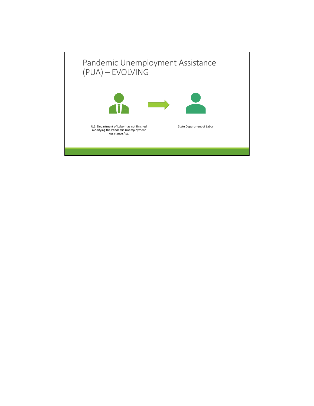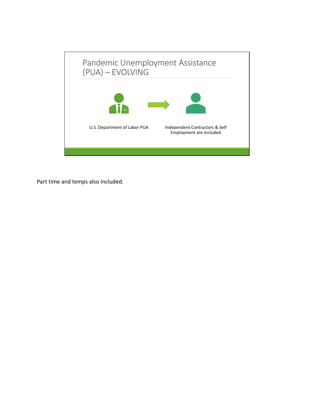

Part time and temps also included.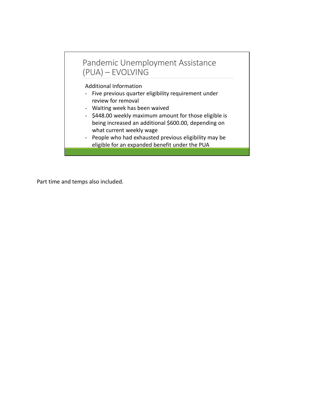## Pandemic Unemployment Assistance (PUA) – EVOLVING

Additional Information

- Five previous quarter eligibility requirement under review for removal
- Waiting week has been waived
- \$448.00 weekly maximum amount for those eligible is being increased an additional \$600.00, depending on what current weekly wage
- People who had exhausted previous eligibility may be eligible for an expanded benefit under the PUA

Part time and temps also included.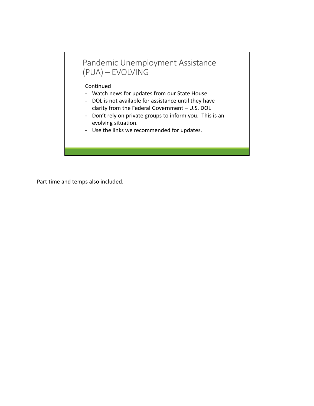## Pandemic Unemployment Assistance (PUA) – EVOLVING

#### Continued

- Watch news for updates from our State House
- DOL is not available for assistance until they have clarity from the Federal Government – U.S. DOL
- Don't rely on private groups to inform you. This is an evolving situation.
- Use the links we recommended for updates.

Part time and temps also included.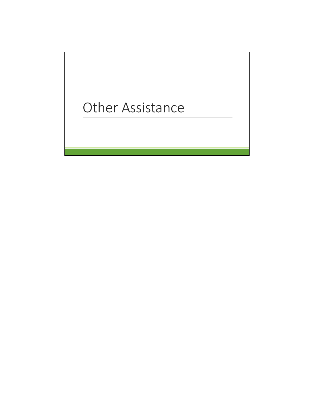# Other Assistance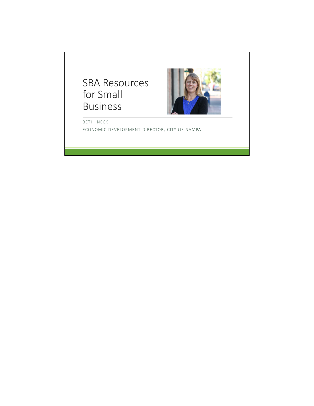# SBA Resources for Small Business



BETH INECK ECONOMIC DEVELOPMENT DIRECTOR, CITY OF NAMPA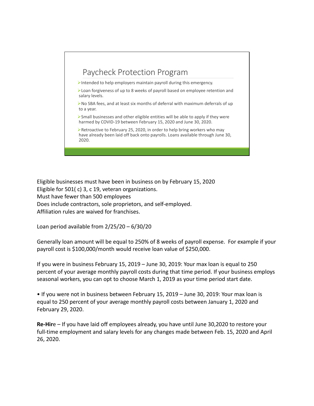# Paycheck Protection Program

Intended to help employers maintain payroll during this emergency.

Loan forgiveness of up to 8 weeks of payroll based on employee retention and salary levels.

No SBA fees, and at least six months of deferral with maximum deferrals of up to a year.

 $\triangleright$  Small businesses and other eligible entities will be able to apply if they were harmed by COVID-19 between February 15, 2020 and June 30, 2020.

Retroactive to February 25, 2020, in order to help bring workers who may have already been laid off back onto payrolls. Loans available through June 30, 2020.

Eligible businesses must have been in business on by February 15, 2020 Eligible for 501( c) 3, c 19, veteran organizations. Must have fewer than 500 employees Does include contractors, sole proprietors, and self-employed. Affiliation rules are waived for franchises.

Loan period available from 2/25/20 – 6/30/20

Generally loan amount will be equal to 250% of 8 weeks of payroll expense. For example if your payroll cost is \$100,000/month would receive loan value of \$250,000.

If you were in business February 15, 2019 – June 30, 2019: Your max loan is equal to 250 percent of your average monthly payroll costs during that time period. If your business employs seasonal workers, you can opt to choose March 1, 2019 as your time period start date.

• If you were not in business between February 15, 2019 – June 30, 2019: Your max loan is equal to 250 percent of your average monthly payroll costs between January 1, 2020 and February 29, 2020.

**Re-Hir**e – If you have laid off employees already, you have until June 30,2020 to restore your full-time employment and salary levels for any changes made between Feb. 15, 2020 and April 26, 2020.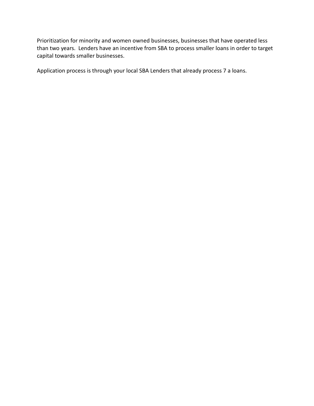Prioritization for minority and women owned businesses, businesses that have operated less than two years. Lenders have an incentive from SBA to process smaller loans in order to target capital towards smaller businesses.

Application process is through your local SBA Lenders that already process 7 a loans.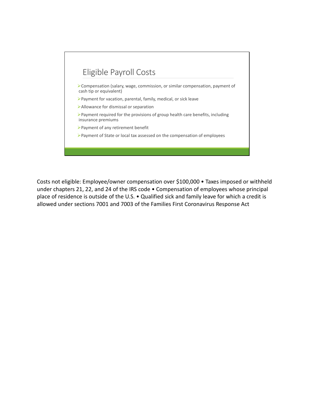

Costs not eligible: Employee/owner compensation over \$100,000 • Taxes imposed or withheld under chapters 21, 22, and 24 of the IRS code • Compensation of employees whose principal place of residence is outside of the U.S. • Qualified sick and family leave for which a credit is allowed under sections 7001 and 7003 of the Families First Coronavirus Response Act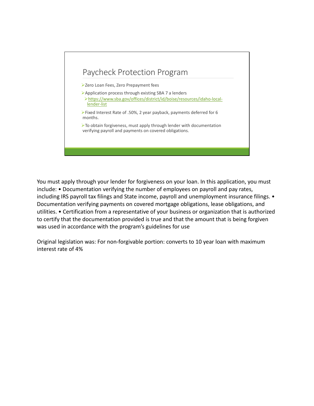

You must apply through your lender for forgiveness on your loan. In this application, you must include: • Documentation verifying the number of employees on payroll and pay rates, including IRS payroll tax filings and State income, payroll and unemployment insurance filings. • Documentation verifying payments on covered mortgage obligations, lease obligations, and utilities. • Certification from a representative of your business or organization that is authorized to certify that the documentation provided is true and that the amount that is being forgiven was used in accordance with the program's guidelines for use

Original legislation was: For non-forgivable portion: converts to 10 year loan with maximum interest rate of 4%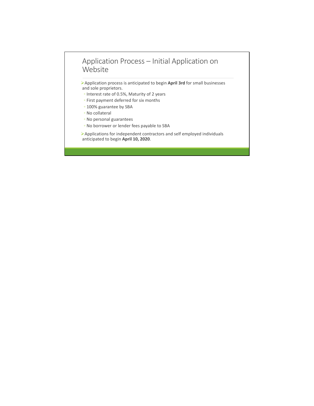#### Application Process – Initial Application on Website

Application process is anticipated to begin **April 3rd** for small businesses and sole proprietors.

- Interest rate of 0.5%, Maturity of 2 years
- First payment deferred for six months
- 100% guarantee by SBA
- No collateral
- No personal guarantees
- No borrower or lender fees payable to SBA

Applications for independent contractors and self employed individuals anticipated to begin **April 10, 2020**.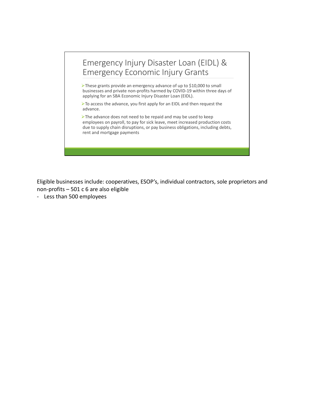## Emergency Injury Disaster Loan (EIDL) & Emergency Economic Injury Grants

These grants provide an emergency advance of up to \$10,000 to small businesses and private non-profits harmed by COVID-19 within three days of applying for an SBA Economic Injury Disaster Loan (EIDL).

 $\triangleright$  To access the advance, you first apply for an EIDL and then request the advance.

The advance does not need to be repaid and may be used to keep employees on payroll, to pay for sick leave, meet increased production costs due to supply chain disruptions, or pay business obligations, including debts, rent and mortgage payments

Eligible businesses include: cooperatives, ESOP's, individual contractors, sole proprietors and non-profits – 501 c 6 are also eligible

- Less than 500 employees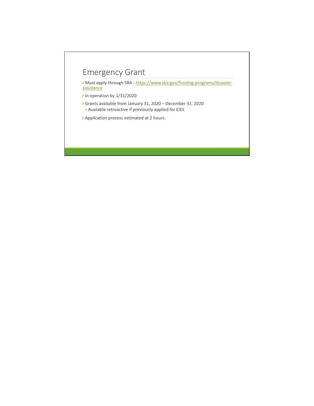# Emergency Grant

Must apply through SBA - https://www.sba.gov/funding-programs/disasterassistance

- $\blacktriangleright$  In operation by 1/31/2020
- Grants available from January 31, 2020 December 31, 2020 Available retroactive if previously applied for EIDL
- Application process estimated at 2 hours.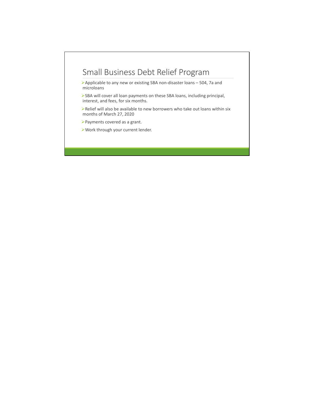## Small Business Debt Relief Program

Applicable to any new or existing SBA non-disaster loans – 504, 7a and microloans

SBA will cover all loan payments on these SBA loans, including principal, interest, and fees, for six months.

Relief will also be available to new borrowers who take out loans within six months of March 27, 2020

- Payments covered as a grant.
- Work through your current lender.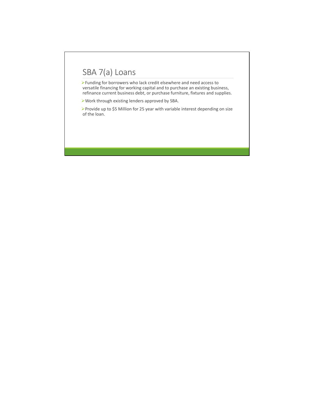# SBA 7(a) Loans

Funding for borrowers who lack credit elsewhere and need access to versatile financing for working capital and to purchase an existing business, refinance current business debt, or purchase furniture, fixtures and supplies.

Work through existing lenders approved by SBA.

Provide up to \$5 Million for 25 year with variable interest depending on size of the loan.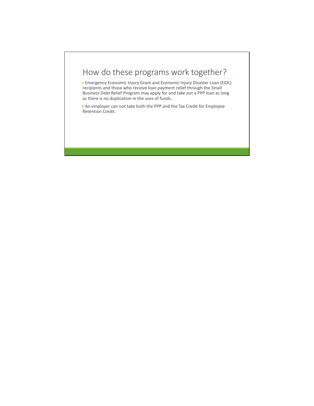# How do these programs work together?

Emergency Economic Injury Grant and Economic Injury Disaster Loan (EIDL) recipients and those who receive loan payment relief through the Small Business Debt Relief Program may apply for and take out a PPP loan as long as there is no duplication in the uses of funds.

An employer can not take both the PPP and the Tax Credit for Employee Retention Credit.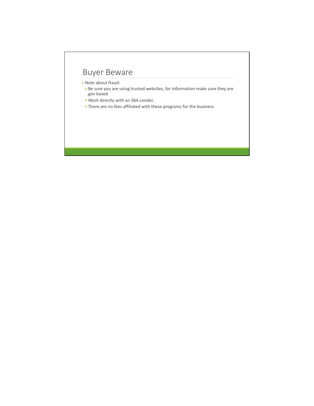# Buyer Beware

Note about fraud:

Be sure you are using trusted websites, for information make sure they are .gov based

Work directly with an SBA Lender.

There are no fees affiliated with these programs for the business.